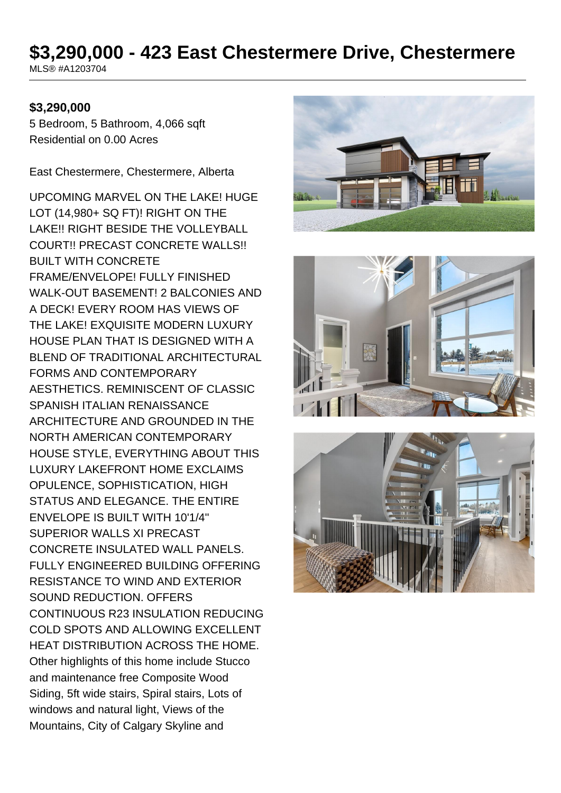# **\$3,290,000 - 423 East Chestermere Drive, Chestermere**

MLS® #A1203704

### **\$3,290,000**

5 Bedroom, 5 Bathroom, 4,066 sqft Residential on 0.00 Acres

East Chestermere, Chestermere, Alberta

UPCOMING MARVEL ON THE LAKE! HUGE LOT (14,980+ SQ FT)! RIGHT ON THE LAKE!! RIGHT BESIDE THE VOLLEYBALL COURT!! PRECAST CONCRETE WALLS!! BUILT WITH CONCRETE FRAME/ENVELOPE! FULLY FINISHED WALK-OUT BASEMENT! 2 BALCONIES AND A DECK! EVERY ROOM HAS VIEWS OF THE LAKE! EXQUISITE MODERN LUXURY HOUSE PLAN THAT IS DESIGNED WITH A BLEND OF TRADITIONAL ARCHITECTURAL FORMS AND CONTEMPORARY AESTHETICS. REMINISCENT OF CLASSIC SPANISH ITALIAN RENAISSANCE ARCHITECTURE AND GROUNDED IN THE NORTH AMERICAN CONTEMPORARY HOUSE STYLE, EVERYTHING ABOUT THIS LUXURY LAKEFRONT HOME EXCLAIMS OPULENCE, SOPHISTICATION, HIGH STATUS AND ELEGANCE. THE ENTIRE ENVELOPE IS BUILT WITH 10'1/4'' SUPERIOR WALLS XI PRECAST CONCRETE INSULATED WALL PANELS. FULLY ENGINEERED BUILDING OFFERING RESISTANCE TO WIND AND EXTERIOR SOUND REDUCTION. OFFERS CONTINUOUS R23 INSULATION REDUCING COLD SPOTS AND ALLOWING EXCELLENT HEAT DISTRIBUTION ACROSS THE HOME. Other highlights of this home include Stucco and maintenance free Composite Wood Siding, 5ft wide stairs, Spiral stairs, Lots of windows and natural light, Views of the Mountains, City of Calgary Skyline and





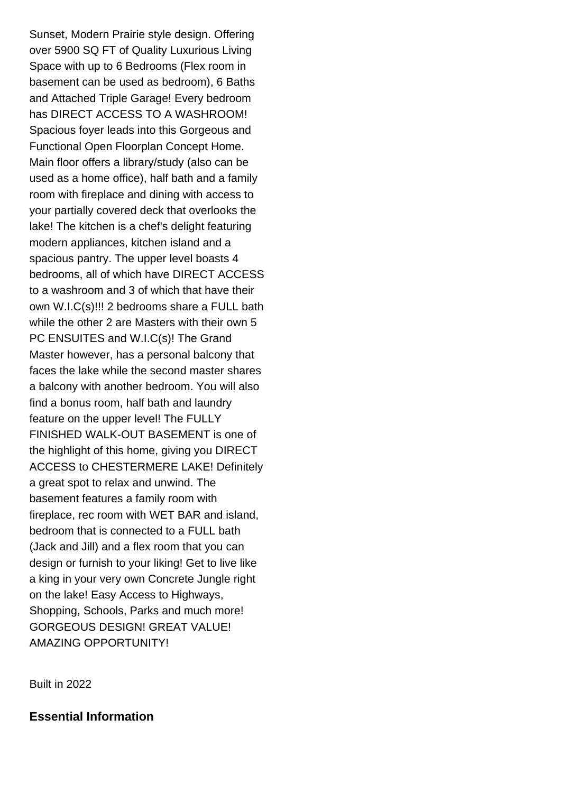Sunset, Modern Prairie style design. Offering over 5900 SQ FT of Quality Luxurious Living Space with up to 6 Bedrooms (Flex room in basement can be used as bedroom), 6 Baths and Attached Triple Garage! Every bedroom has DIRECT ACCESS TO A WASHROOM! Spacious foyer leads into this Gorgeous and Functional Open Floorplan Concept Home. Main floor offers a library/study (also can be used as a home office), half bath and a family room with fireplace and dining with access to your partially covered deck that overlooks the lake! The kitchen is a chef's delight featuring modern appliances, kitchen island and a spacious pantry. The upper level boasts 4 bedrooms, all of which have DIRECT ACCESS to a washroom and 3 of which that have their own W.I.C(s)!!! 2 bedrooms share a FULL bath while the other 2 are Masters with their own 5 PC ENSUITES and W.I.C(s)! The Grand Master however, has a personal balcony that faces the lake while the second master shares a balcony with another bedroom. You will also find a bonus room, half bath and laundry feature on the upper level! The FULLY FINISHED WALK-OUT BASEMENT is one of the highlight of this home, giving you DIRECT ACCESS to CHESTERMERE LAKE! Definitely a great spot to relax and unwind. The basement features a family room with fireplace, rec room with WET BAR and island, bedroom that is connected to a FULL bath (Jack and Jill) and a flex room that you can design or furnish to your liking! Get to live like a king in your very own Concrete Jungle right on the lake! Easy Access to Highways, Shopping, Schools, Parks and much more! GORGEOUS DESIGN! GREAT VALUE! AMAZING OPPORTUNITY!

Built in 2022

**Essential Information**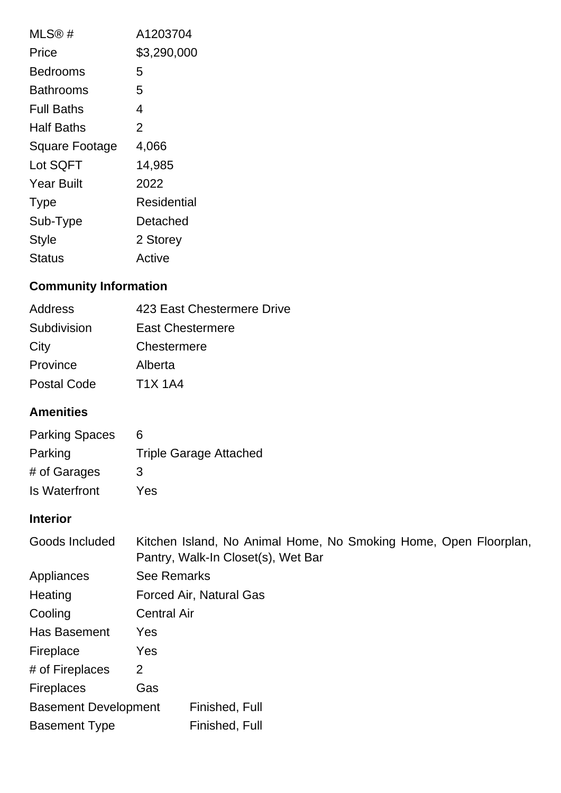| MLS@#                 | A1203704    |
|-----------------------|-------------|
| Price                 | \$3,290,000 |
| Bedrooms              | 5           |
| Bathrooms             | 5           |
| Full Baths            | 4           |
| Half Baths            | 2           |
| <b>Square Footage</b> | 4,066       |
| Lot SQFT              | 14,985      |
| <b>Year Built</b>     | 2022        |
| <b>Type</b>           | Residential |
| Sub-Type              | Detached    |
| <b>Style</b>          | 2 Storey    |
| <b>Status</b>         | Active      |

# **Community Information**

| <b>Address</b> | 423 East Chestermere Drive |
|----------------|----------------------------|
| Subdivision    | <b>East Chestermere</b>    |
| City           | Chestermere                |
| Province       | Alberta                    |
| Postal Code    | <b>T1X 1A4</b>             |
|                |                            |

# **Amenities**

| <b>Parking Spaces</b> | 6                             |
|-----------------------|-------------------------------|
| Parking               | <b>Triple Garage Attached</b> |
| # of Garages          | 3                             |
| Is Waterfront         | Yes                           |

# **Interior**

| Goods Included              | Kitchen Island, No Animal Home, No Smoking Home, Open Floorplan,<br>Pantry, Walk-In Closet(s), Wet Bar |
|-----------------------------|--------------------------------------------------------------------------------------------------------|
| Appliances                  | <b>See Remarks</b>                                                                                     |
| Heating                     | Forced Air, Natural Gas                                                                                |
| Cooling                     | <b>Central Air</b>                                                                                     |
| Has Basement                | Yes                                                                                                    |
| Fireplace                   | Yes                                                                                                    |
| # of Fireplaces             | 2                                                                                                      |
| <b>Fireplaces</b>           | Gas                                                                                                    |
| <b>Basement Development</b> | Finished, Full                                                                                         |
| <b>Basement Type</b>        | Finished, Full                                                                                         |